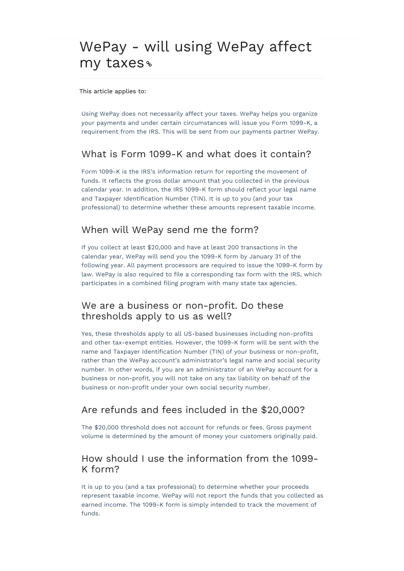# WePay - will using WePay affect my taxes

This article applies to:

Using WePay does not necessarily affect your taxes. WePay helps you organize your payments and under certain circumstances will issue you Form 1099-K, a requirement from the IRS. This will be sent from our payments partner WePay.

#### What is Form 1099-K and what does it contain?

Form 1099-K is the IRS's information return for reporting the movement of funds. It reflects the gross dollar amount that you collected in the previous calendar year. In addition, the IRS 1099-K form should reflect your legal name and Taxpayer Identification Number (TIN). It is up to you (and your tax professional) to determine whether these amounts represent taxable income.

#### When will WePay send me the form?

If you collect at least \$20,000 and have at least 200 transactions in the calendar year, WePay will send you the 1099-K form by January 31 of the following year. All payment processors are required to issue the 1099-K form by law. WePay is also required to file a corresponding tax form with the IRS, which participates in a combined filing program with many state tax agencies.

#### We are a business or non-profit. Do these thresholds apply to us as well?

Yes, these thresholds apply to all US-based businesses including non-profits and other tax-exempt entities. However, the 1099-K form will be sent with the name and Taxpayer Identification Number (TIN) of your business or non-profit, rather than the WePay account's administrator's legal name and social security number. In other words, if you are an administrator of an WePay account for a business or non-profit, you will not take on any tax liability on behalf of the business or non-profit under your own social security number.

### Are refunds and fees included in the \$20,000?

The \$20,000 threshold does not account for refunds or fees. Gross payment volume is determined by the amount of money your customers originally paid.

#### How should I use the information from the 1099- K form?

It is up to you (and a tax professional) to determine whether your proceeds represent taxable income. WePay will not report the funds that you collected as earned income. The 1099-K form is simply intended to track the movement of funds.